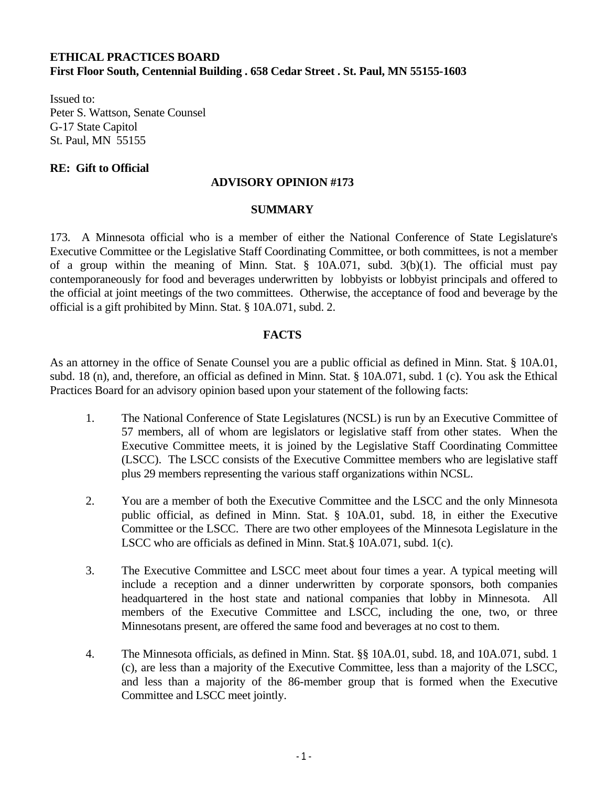# **ETHICAL PRACTICES BOARD First Floor South, Centennial Building . 658 Cedar Street . St. Paul, MN 55155-1603**

Issued to: Peter S. Wattson, Senate Counsel G-17 State Capitol St. Paul, MN 55155

## **RE: Gift to Official**

## **ADVISORY OPINION #173**

#### **SUMMARY**

173. A Minnesota official who is a member of either the National Conference of State Legislature's Executive Committee or the Legislative Staff Coordinating Committee, or both committees, is not a member of a group within the meaning of Minn. Stat.  $\S$  10A.071, subd. 3(b)(1). The official must pay contemporaneously for food and beverages underwritten by lobbyists or lobbyist principals and offered to the official at joint meetings of the two committees. Otherwise, the acceptance of food and beverage by the official is a gift prohibited by Minn. Stat. § 10A.071, subd. 2.

## **FACTS**

As an attorney in the office of Senate Counsel you are a public official as defined in Minn. Stat. § 10A.01, subd. 18 (n), and, therefore, an official as defined in Minn. Stat. § 10A.071, subd. 1 (c). You ask the Ethical Practices Board for an advisory opinion based upon your statement of the following facts:

- 1. The National Conference of State Legislatures (NCSL) is run by an Executive Committee of 57 members, all of whom are legislators or legislative staff from other states. When the Executive Committee meets, it is joined by the Legislative Staff Coordinating Committee (LSCC). The LSCC consists of the Executive Committee members who are legislative staff plus 29 members representing the various staff organizations within NCSL.
- 2. You are a member of both the Executive Committee and the LSCC and the only Minnesota public official, as defined in Minn. Stat. § 10A.01, subd. 18, in either the Executive Committee or the LSCC. There are two other employees of the Minnesota Legislature in the LSCC who are officials as defined in Minn. Stat.§ 10A.071, subd. 1(c).
- 3. The Executive Committee and LSCC meet about four times a year. A typical meeting will include a reception and a dinner underwritten by corporate sponsors, both companies headquartered in the host state and national companies that lobby in Minnesota. All members of the Executive Committee and LSCC, including the one, two, or three Minnesotans present, are offered the same food and beverages at no cost to them.
- 4. The Minnesota officials, as defined in Minn. Stat. §§ 10A.01, subd. 18, and 10A.071, subd. 1 (c), are less than a majority of the Executive Committee, less than a majority of the LSCC, and less than a majority of the 86-member group that is formed when the Executive Committee and LSCC meet jointly.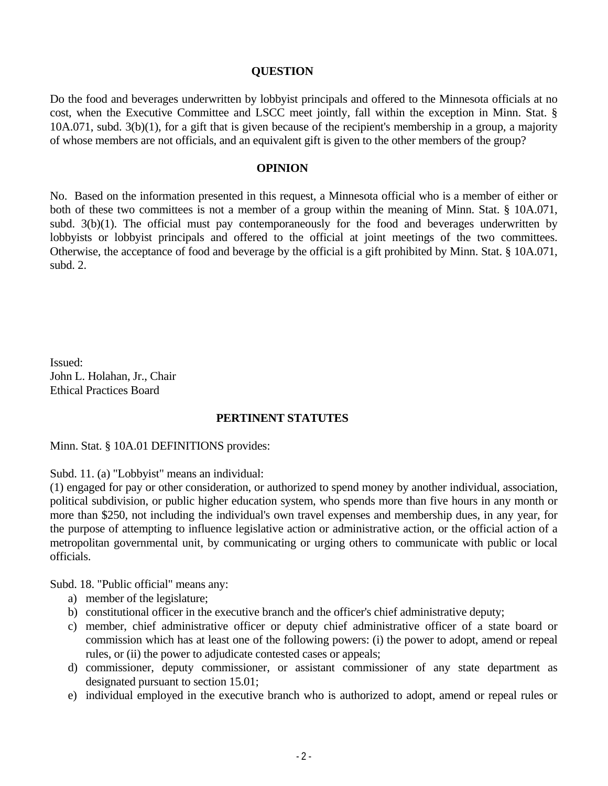### **QUESTION**

Do the food and beverages underwritten by lobbyist principals and offered to the Minnesota officials at no cost, when the Executive Committee and LSCC meet jointly, fall within the exception in Minn. Stat. § 10A.071, subd. 3(b)(1), for a gift that is given because of the recipient's membership in a group, a majority of whose members are not officials, and an equivalent gift is given to the other members of the group?

#### **OPINION**

No. Based on the information presented in this request, a Minnesota official who is a member of either or both of these two committees is not a member of a group within the meaning of Minn. Stat. § 10A.071, subd. 3(b)(1). The official must pay contemporaneously for the food and beverages underwritten by lobbyists or lobbyist principals and offered to the official at joint meetings of the two committees. Otherwise, the acceptance of food and beverage by the official is a gift prohibited by Minn. Stat. § 10A.071, subd. 2.

Issued: John L. Holahan, Jr., Chair Ethical Practices Board

### **PERTINENT STATUTES**

Minn. Stat. § 10A.01 DEFINITIONS provides:

Subd. 11. (a) "Lobbyist" means an individual:

(1) engaged for pay or other consideration, or authorized to spend money by another individual, association, political subdivision, or public higher education system, who spends more than five hours in any month or more than \$250, not including the individual's own travel expenses and membership dues, in any year, for the purpose of attempting to influence legislative action or administrative action, or the official action of a metropolitan governmental unit, by communicating or urging others to communicate with public or local officials.

Subd. 18. "Public official" means any:

- a) member of the legislature;
- b) constitutional officer in the executive branch and the officer's chief administrative deputy;
- c) member, chief administrative officer or deputy chief administrative officer of a state board or commission which has at least one of the following powers: (i) the power to adopt, amend or repeal rules, or (ii) the power to adjudicate contested cases or appeals;
- d) commissioner, deputy commissioner, or assistant commissioner of any state department as designated pursuant to section 15.01;
- e) individual employed in the executive branch who is authorized to adopt, amend or repeal rules or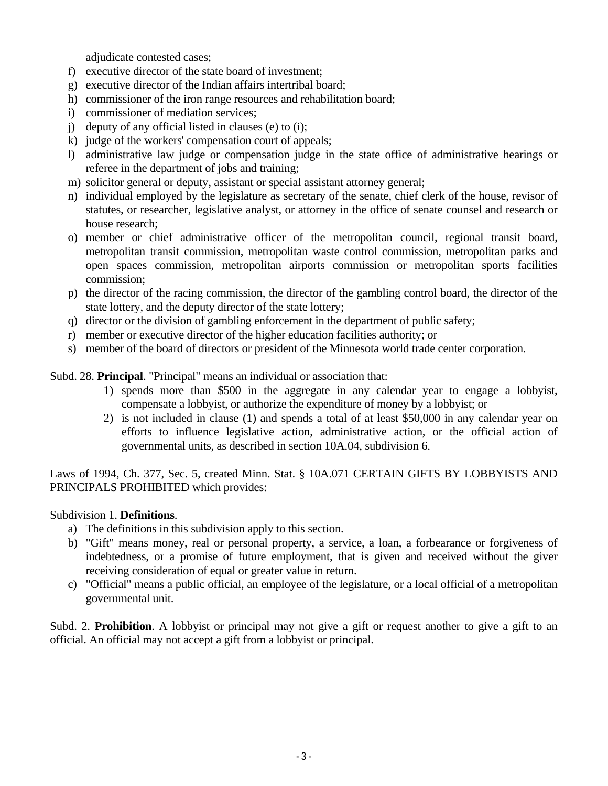adjudicate contested cases;

- f) executive director of the state board of investment;
- g) executive director of the Indian affairs intertribal board;
- h) commissioner of the iron range resources and rehabilitation board;
- i) commissioner of mediation services;
- j) deputy of any official listed in clauses (e) to (i);
- k) judge of the workers' compensation court of appeals;
- l) administrative law judge or compensation judge in the state office of administrative hearings or referee in the department of jobs and training;
- m) solicitor general or deputy, assistant or special assistant attorney general;
- n) individual employed by the legislature as secretary of the senate, chief clerk of the house, revisor of statutes, or researcher, legislative analyst, or attorney in the office of senate counsel and research or house research;
- o) member or chief administrative officer of the metropolitan council, regional transit board, metropolitan transit commission, metropolitan waste control commission, metropolitan parks and open spaces commission, metropolitan airports commission or metropolitan sports facilities commission;
- p) the director of the racing commission, the director of the gambling control board, the director of the state lottery, and the deputy director of the state lottery;
- q) director or the division of gambling enforcement in the department of public safety;
- r) member or executive director of the higher education facilities authority; or
- s) member of the board of directors or president of the Minnesota world trade center corporation.

Subd. 28. **Principal**. "Principal" means an individual or association that:

- 1) spends more than \$500 in the aggregate in any calendar year to engage a lobbyist, compensate a lobbyist, or authorize the expenditure of money by a lobbyist; or
- 2) is not included in clause (1) and spends a total of at least \$50,000 in any calendar year on efforts to influence legislative action, administrative action, or the official action of governmental units, as described in section 10A.04, subdivision 6.

Laws of 1994, Ch. 377, Sec. 5, created Minn. Stat. § 10A.071 CERTAIN GIFTS BY LOBBYISTS AND PRINCIPALS PROHIBITED which provides:

## Subdivision 1. **Definitions**.

- a) The definitions in this subdivision apply to this section.
- b) "Gift" means money, real or personal property, a service, a loan, a forbearance or forgiveness of indebtedness, or a promise of future employment, that is given and received without the giver receiving consideration of equal or greater value in return.
- c) "Official" means a public official, an employee of the legislature, or a local official of a metropolitan governmental unit.

Subd. 2. **Prohibition**. A lobbyist or principal may not give a gift or request another to give a gift to an official. An official may not accept a gift from a lobbyist or principal.